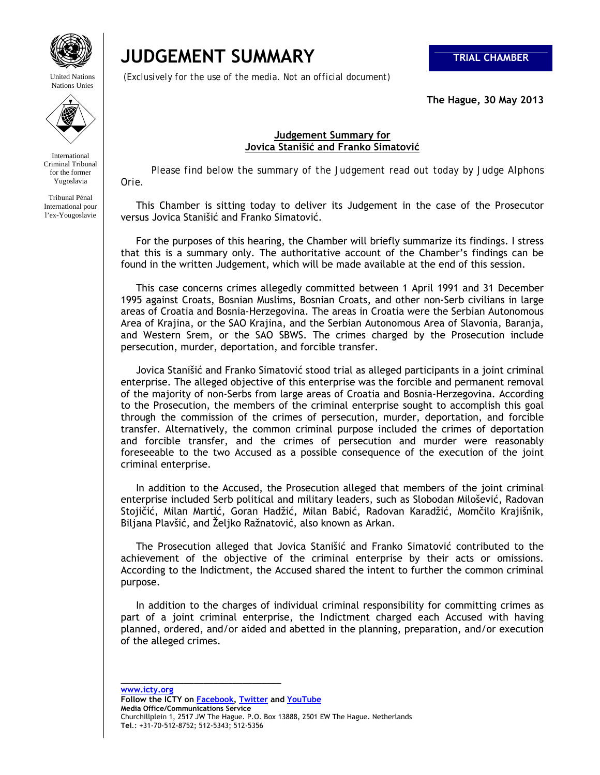

United Nations Nations Unies

International Criminal Tribunal for the former Yugoslavia

Tribunal Pénal International pour l'ex-Yougoslavie

## **JUDGEMENT SUMMARY TRIAL CHAMBER**

 *(Exclusively for the use of the media. Not an official document)*

**The Hague, 30 May 2013** 

## **Judgement Summary for Jovica Stanišić and Franko Simatović**

 *Please find below the summary of the Judgement read out today by Judge Alphons Orie.* 

 This Chamber is sitting today to deliver its Judgement in the case of the Prosecutor versus Jovica Stanišić and Franko Simatović.

 For the purposes of this hearing, the Chamber will briefly summarize its findings. I stress that this is a summary only. The authoritative account of the Chamber's findings can be found in the written Judgement, which will be made available at the end of this session.

 This case concerns crimes allegedly committed between 1 April 1991 and 31 December 1995 against Croats, Bosnian Muslims, Bosnian Croats, and other non-Serb civilians in large areas of Croatia and Bosnia-Herzegovina. The areas in Croatia were the Serbian Autonomous Area of Krajina, or the SAO Krajina, and the Serbian Autonomous Area of Slavonia, Baranja, and Western Srem, or the SAO SBWS. The crimes charged by the Prosecution include persecution, murder, deportation, and forcible transfer.

 Jovica Stanišić and Franko Simatović stood trial as alleged participants in a joint criminal enterprise. The alleged objective of this enterprise was the forcible and permanent removal of the majority of non-Serbs from large areas of Croatia and Bosnia-Herzegovina. According to the Prosecution, the members of the criminal enterprise sought to accomplish this goal through the commission of the crimes of persecution, murder, deportation, and forcible transfer. Alternatively, the common criminal purpose included the crimes of deportation and forcible transfer, and the crimes of persecution and murder were reasonably foreseeable to the two Accused as a possible consequence of the execution of the joint criminal enterprise.

 In addition to the Accused, the Prosecution alleged that members of the joint criminal enterprise included Serb political and military leaders, such as Slobodan Milošević, Radovan Stojičić, Milan Martić, Goran Hadžić, Milan Babić, Radovan Karadžić, Momčilo Krajišnik, Biljana Plavšić, and Željko Ražnatović, also known as Arkan.

 The Prosecution alleged that Jovica Stanišić and Franko Simatović contributed to the achievement of the objective of the criminal enterprise by their acts or omissions. According to the Indictment, the Accused shared the intent to further the common criminal purpose.

 In addition to the charges of individual criminal responsibility for committing crimes as part of a joint criminal enterprise, the Indictment charged each Accused with having planned, ordered, and/or aided and abetted in the planning, preparation, and/or execution of the alleged crimes.

**www.icty.org Follow the ICTY on Facebook, Twitter and YouTube Media Office/Communications Service**  Churchillplein 1, 2517 JW The Hague. P.O. Box 13888, 2501 EW The Hague. Netherlands **Tel**.: +31-70-512-8752; 512-5343; 512-5356

**\_\_\_\_\_\_\_\_\_\_\_\_\_\_\_\_\_\_\_\_\_\_\_\_\_\_\_\_\_\_\_\_\_**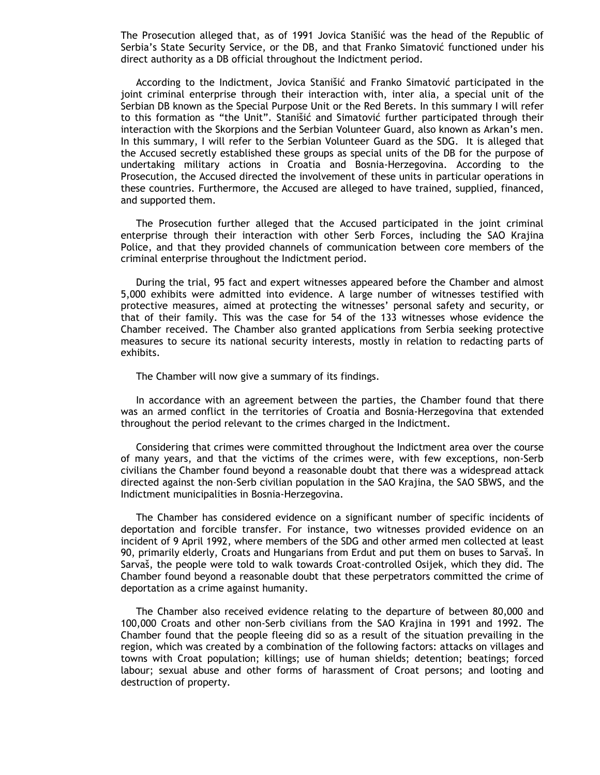The Prosecution alleged that, as of 1991 Jovica Stanišić was the head of the Republic of Serbia's State Security Service, or the DB, and that Franko Simatović functioned under his direct authority as a DB official throughout the Indictment period.

 According to the Indictment, Jovica Stanišić and Franko Simatović participated in the joint criminal enterprise through their interaction with, inter alia, a special unit of the Serbian DB known as the Special Purpose Unit or the Red Berets. In this summary I will refer to this formation as "the Unit". Stanišić and Simatović further participated through their interaction with the Skorpions and the Serbian Volunteer Guard, also known as Arkan's men. In this summary, I will refer to the Serbian Volunteer Guard as the SDG. It is alleged that the Accused secretly established these groups as special units of the DB for the purpose of undertaking military actions in Croatia and Bosnia-Herzegovina. According to the Prosecution, the Accused directed the involvement of these units in particular operations in these countries. Furthermore, the Accused are alleged to have trained, supplied, financed, and supported them.

 The Prosecution further alleged that the Accused participated in the joint criminal enterprise through their interaction with other Serb Forces, including the SAO Krajina Police, and that they provided channels of communication between core members of the criminal enterprise throughout the Indictment period.

 During the trial, 95 fact and expert witnesses appeared before the Chamber and almost 5,000 exhibits were admitted into evidence. A large number of witnesses testified with protective measures, aimed at protecting the witnesses' personal safety and security, or that of their family. This was the case for 54 of the 133 witnesses whose evidence the Chamber received. The Chamber also granted applications from Serbia seeking protective measures to secure its national security interests, mostly in relation to redacting parts of exhibits.

The Chamber will now give a summary of its findings.

 In accordance with an agreement between the parties, the Chamber found that there was an armed conflict in the territories of Croatia and Bosnia-Herzegovina that extended throughout the period relevant to the crimes charged in the Indictment.

 Considering that crimes were committed throughout the Indictment area over the course of many years, and that the victims of the crimes were, with few exceptions, non-Serb civilians the Chamber found beyond a reasonable doubt that there was a widespread attack directed against the non-Serb civilian population in the SAO Krajina, the SAO SBWS, and the Indictment municipalities in Bosnia-Herzegovina.

 The Chamber has considered evidence on a significant number of specific incidents of deportation and forcible transfer. For instance, two witnesses provided evidence on an incident of 9 April 1992, where members of the SDG and other armed men collected at least 90, primarily elderly, Croats and Hungarians from Erdut and put them on buses to Sarvaš. In Sarvaš, the people were told to walk towards Croat-controlled Osijek, which they did. The Chamber found beyond a reasonable doubt that these perpetrators committed the crime of deportation as a crime against humanity.

 The Chamber also received evidence relating to the departure of between 80,000 and 100,000 Croats and other non-Serb civilians from the SAO Krajina in 1991 and 1992. The Chamber found that the people fleeing did so as a result of the situation prevailing in the region, which was created by a combination of the following factors: attacks on villages and towns with Croat population; killings; use of human shields; detention; beatings; forced labour; sexual abuse and other forms of harassment of Croat persons; and looting and destruction of property.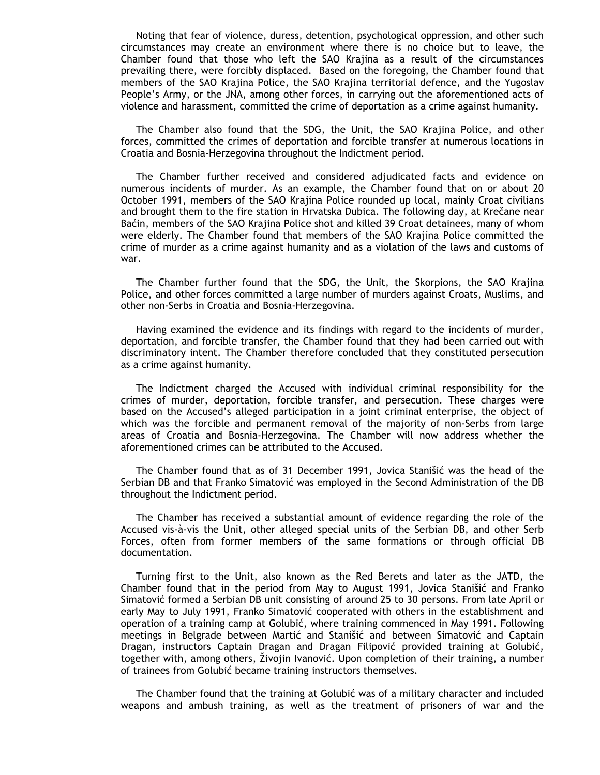Noting that fear of violence, duress, detention, psychological oppression, and other such circumstances may create an environment where there is no choice but to leave, the Chamber found that those who left the SAO Krajina as a result of the circumstances prevailing there, were forcibly displaced. Based on the foregoing, the Chamber found that members of the SAO Krajina Police, the SAO Krajina territorial defence, and the Yugoslav People's Army, or the JNA, among other forces, in carrying out the aforementioned acts of violence and harassment, committed the crime of deportation as a crime against humanity.

 The Chamber also found that the SDG, the Unit, the SAO Krajina Police, and other forces, committed the crimes of deportation and forcible transfer at numerous locations in Croatia and Bosnia-Herzegovina throughout the Indictment period.

 The Chamber further received and considered adjudicated facts and evidence on numerous incidents of murder. As an example, the Chamber found that on or about 20 October 1991, members of the SAO Krajina Police rounded up local, mainly Croat civilians and brought them to the fire station in Hrvatska Dubica. The following day, at Krečane near Baćin, members of the SAO Krajina Police shot and killed 39 Croat detainees, many of whom were elderly. The Chamber found that members of the SAO Krajina Police committed the crime of murder as a crime against humanity and as a violation of the laws and customs of war.

 The Chamber further found that the SDG, the Unit, the Skorpions, the SAO Krajina Police, and other forces committed a large number of murders against Croats, Muslims, and other non-Serbs in Croatia and Bosnia-Herzegovina.

 Having examined the evidence and its findings with regard to the incidents of murder, deportation, and forcible transfer, the Chamber found that they had been carried out with discriminatory intent. The Chamber therefore concluded that they constituted persecution as a crime against humanity.

 The Indictment charged the Accused with individual criminal responsibility for the crimes of murder, deportation, forcible transfer, and persecution. These charges were based on the Accused's alleged participation in a joint criminal enterprise, the object of which was the forcible and permanent removal of the majority of non-Serbs from large areas of Croatia and Bosnia-Herzegovina. The Chamber will now address whether the aforementioned crimes can be attributed to the Accused.

 The Chamber found that as of 31 December 1991, Jovica Stanišić was the head of the Serbian DB and that Franko Simatović was employed in the Second Administration of the DB throughout the Indictment period.

 The Chamber has received a substantial amount of evidence regarding the role of the Accused vis-à-vis the Unit, other alleged special units of the Serbian DB, and other Serb Forces, often from former members of the same formations or through official DB documentation.

 Turning first to the Unit, also known as the Red Berets and later as the JATD, the Chamber found that in the period from May to August 1991, Jovica Stanišić and Franko Simatović formed a Serbian DB unit consisting of around 25 to 30 persons. From late April or early May to July 1991, Franko Simatović cooperated with others in the establishment and operation of a training camp at Golubić, where training commenced in May 1991. Following meetings in Belgrade between Martić and Stanišić and between Simatović and Captain Dragan, instructors Captain Dragan and Dragan Filipović provided training at Golubić, together with, among others, Živojin Ivanović. Upon completion of their training, a number of trainees from Golubić became training instructors themselves.

 The Chamber found that the training at Golubić was of a military character and included weapons and ambush training, as well as the treatment of prisoners of war and the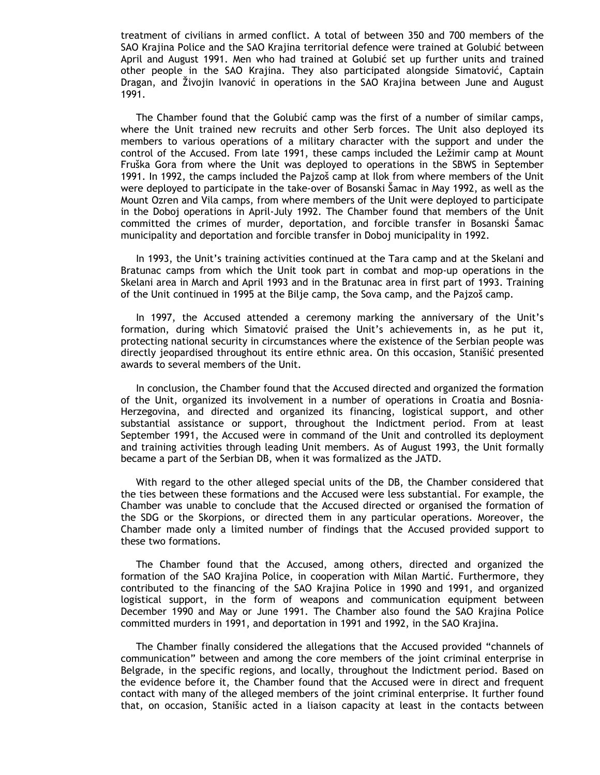treatment of civilians in armed conflict. A total of between 350 and 700 members of the SAO Krajina Police and the SAO Krajina territorial defence were trained at Golubić between April and August 1991. Men who had trained at Golubić set up further units and trained other people in the SAO Krajina. They also participated alongside Simatović, Captain Dragan, and Živojin Ivanović in operations in the SAO Krajina between June and August 1991.

 The Chamber found that the Golubić camp was the first of a number of similar camps, where the Unit trained new recruits and other Serb forces. The Unit also deployed its members to various operations of a military character with the support and under the control of the Accused. From late 1991, these camps included the Ležimir camp at Mount Fruška Gora from where the Unit was deployed to operations in the SBWS in September 1991. In 1992, the camps included the Pajzoš camp at Ilok from where members of the Unit were deployed to participate in the take-over of Bosanski Šamac in May 1992, as well as the Mount Ozren and Vila camps, from where members of the Unit were deployed to participate in the Doboj operations in April-July 1992. The Chamber found that members of the Unit committed the crimes of murder, deportation, and forcible transfer in Bosanski Šamac municipality and deportation and forcible transfer in Doboj municipality in 1992.

 In 1993, the Unit's training activities continued at the Tara camp and at the Skelani and Bratunac camps from which the Unit took part in combat and mop-up operations in the Skelani area in March and April 1993 and in the Bratunac area in first part of 1993. Training of the Unit continued in 1995 at the Bilje camp, the Sova camp, and the Pajzoš camp.

 In 1997, the Accused attended a ceremony marking the anniversary of the Unit's formation, during which Simatović praised the Unit's achievements in, as he put it, protecting national security in circumstances where the existence of the Serbian people was directly jeopardised throughout its entire ethnic area. On this occasion, Stanišić presented awards to several members of the Unit.

 In conclusion, the Chamber found that the Accused directed and organized the formation of the Unit, organized its involvement in a number of operations in Croatia and Bosnia-Herzegovina, and directed and organized its financing, logistical support, and other substantial assistance or support, throughout the Indictment period. From at least September 1991, the Accused were in command of the Unit and controlled its deployment and training activities through leading Unit members. As of August 1993, the Unit formally became a part of the Serbian DB, when it was formalized as the JATD.

 With regard to the other alleged special units of the DB, the Chamber considered that the ties between these formations and the Accused were less substantial. For example, the Chamber was unable to conclude that the Accused directed or organised the formation of the SDG or the Skorpions, or directed them in any particular operations. Moreover, the Chamber made only a limited number of findings that the Accused provided support to these two formations.

 The Chamber found that the Accused, among others, directed and organized the formation of the SAO Krajina Police, in cooperation with Milan Martić. Furthermore, they contributed to the financing of the SAO Krajina Police in 1990 and 1991, and organized logistical support, in the form of weapons and communication equipment between December 1990 and May or June 1991. The Chamber also found the SAO Krajina Police committed murders in 1991, and deportation in 1991 and 1992, in the SAO Krajina.

 The Chamber finally considered the allegations that the Accused provided "channels of communication" between and among the core members of the joint criminal enterprise in Belgrade, in the specific regions, and locally, throughout the Indictment period. Based on the evidence before it, the Chamber found that the Accused were in direct and frequent contact with many of the alleged members of the joint criminal enterprise. It further found that, on occasion, Stanišic acted in a liaison capacity at least in the contacts between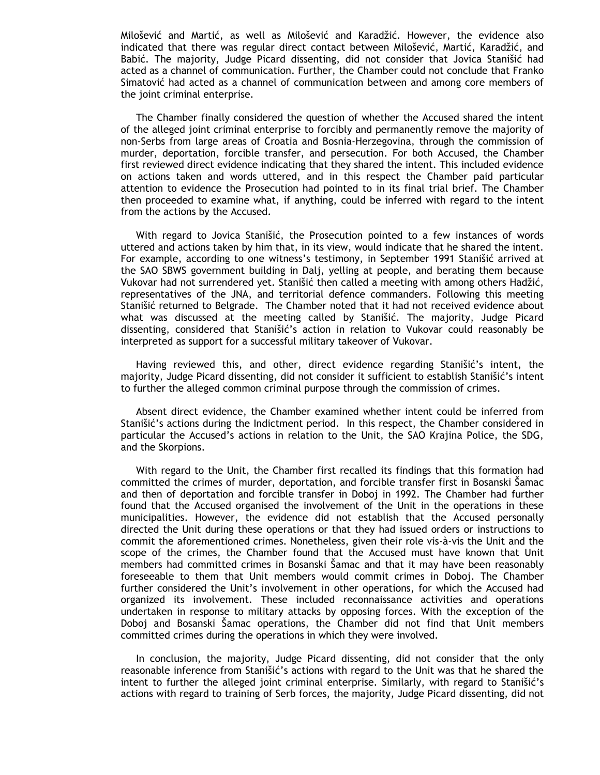Milošević and Martić, as well as Milošević and Karadžić. However, the evidence also indicated that there was regular direct contact between Milošević, Martić, Karadžić, and Babić. The majority, Judge Picard dissenting, did not consider that Jovica Stanišić had acted as a channel of communication. Further, the Chamber could not conclude that Franko Simatović had acted as a channel of communication between and among core members of the joint criminal enterprise.

 The Chamber finally considered the question of whether the Accused shared the intent of the alleged joint criminal enterprise to forcibly and permanently remove the majority of non-Serbs from large areas of Croatia and Bosnia-Herzegovina, through the commission of murder, deportation, forcible transfer, and persecution. For both Accused, the Chamber first reviewed direct evidence indicating that they shared the intent. This included evidence on actions taken and words uttered, and in this respect the Chamber paid particular attention to evidence the Prosecution had pointed to in its final trial brief. The Chamber then proceeded to examine what, if anything, could be inferred with regard to the intent from the actions by the Accused.

 With regard to Jovica Stanišić, the Prosecution pointed to a few instances of words uttered and actions taken by him that, in its view, would indicate that he shared the intent. For example, according to one witness's testimony, in September 1991 Stanišić arrived at the SAO SBWS government building in Dalj, yelling at people, and berating them because Vukovar had not surrendered yet. Stanišić then called a meeting with among others Hadžić, representatives of the JNA, and territorial defence commanders. Following this meeting Stanišić returned to Belgrade. The Chamber noted that it had not received evidence about what was discussed at the meeting called by Stanišić. The majority, Judge Picard dissenting, considered that Stanišić's action in relation to Vukovar could reasonably be interpreted as support for a successful military takeover of Vukovar.

 Having reviewed this, and other, direct evidence regarding Stanišić's intent, the majority, Judge Picard dissenting, did not consider it sufficient to establish Stanišić's intent to further the alleged common criminal purpose through the commission of crimes.

 Absent direct evidence, the Chamber examined whether intent could be inferred from Stanišić's actions during the Indictment period. In this respect, the Chamber considered in particular the Accused's actions in relation to the Unit, the SAO Krajina Police, the SDG, and the Skorpions.

 With regard to the Unit, the Chamber first recalled its findings that this formation had committed the crimes of murder, deportation, and forcible transfer first in Bosanski Šamac and then of deportation and forcible transfer in Doboj in 1992. The Chamber had further found that the Accused organised the involvement of the Unit in the operations in these municipalities. However, the evidence did not establish that the Accused personally directed the Unit during these operations or that they had issued orders or instructions to commit the aforementioned crimes. Nonetheless, given their role vis-à-vis the Unit and the scope of the crimes, the Chamber found that the Accused must have known that Unit members had committed crimes in Bosanski Šamac and that it may have been reasonably foreseeable to them that Unit members would commit crimes in Doboj. The Chamber further considered the Unit's involvement in other operations, for which the Accused had organized its involvement. These included reconnaissance activities and operations undertaken in response to military attacks by opposing forces. With the exception of the Doboj and Bosanski Šamac operations, the Chamber did not find that Unit members committed crimes during the operations in which they were involved.

 In conclusion, the majority, Judge Picard dissenting, did not consider that the only reasonable inference from Stanišić's actions with regard to the Unit was that he shared the intent to further the alleged joint criminal enterprise. Similarly, with regard to Stanišić's actions with regard to training of Serb forces, the majority, Judge Picard dissenting, did not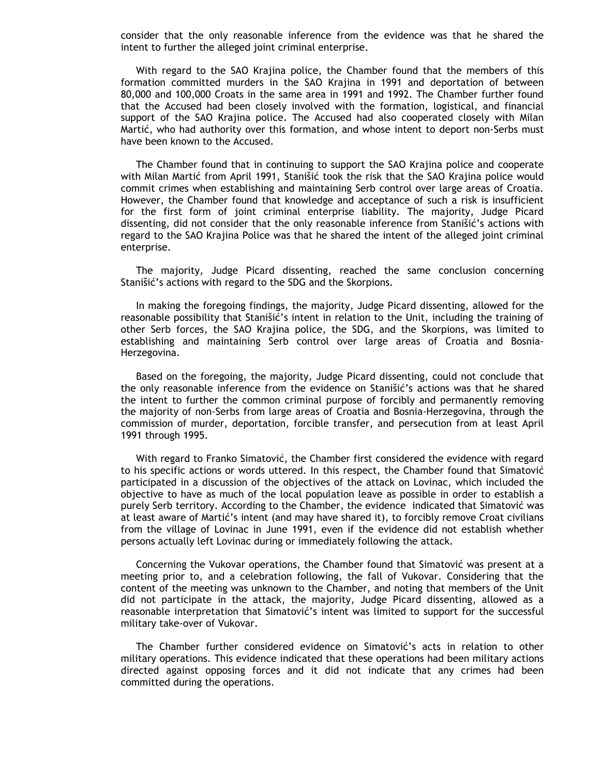consider that the only reasonable inference from the evidence was that he shared the intent to further the alleged joint criminal enterprise.

 With regard to the SAO Krajina police, the Chamber found that the members of this formation committed murders in the SAO Krajina in 1991 and deportation of between 80,000 and 100,000 Croats in the same area in 1991 and 1992. The Chamber further found that the Accused had been closely involved with the formation, logistical, and financial support of the SAO Krajina police. The Accused had also cooperated closely with Milan Martić, who had authority over this formation, and whose intent to deport non-Serbs must have been known to the Accused.

 The Chamber found that in continuing to support the SAO Krajina police and cooperate with Milan Martić from April 1991, Stanišić took the risk that the SAO Krajina police would commit crimes when establishing and maintaining Serb control over large areas of Croatia. However, the Chamber found that knowledge and acceptance of such a risk is insufficient for the first form of joint criminal enterprise liability. The majority, Judge Picard dissenting, did not consider that the only reasonable inference from Stanišić's actions with regard to the SAO Krajina Police was that he shared the intent of the alleged joint criminal enterprise.

 The majority, Judge Picard dissenting, reached the same conclusion concerning Stanišić's actions with regard to the SDG and the Skorpions.

 In making the foregoing findings, the majority, Judge Picard dissenting, allowed for the reasonable possibility that Stanišić's intent in relation to the Unit, including the training of other Serb forces, the SAO Krajina police, the SDG, and the Skorpions, was limited to establishing and maintaining Serb control over large areas of Croatia and Bosnia-Herzegovina.

 Based on the foregoing, the majority, Judge Picard dissenting, could not conclude that the only reasonable inference from the evidence on Stanišić's actions was that he shared the intent to further the common criminal purpose of forcibly and permanently removing the majority of non-Serbs from large areas of Croatia and Bosnia-Herzegovina, through the commission of murder, deportation, forcible transfer, and persecution from at least April 1991 through 1995.

 With regard to Franko Simatović, the Chamber first considered the evidence with regard to his specific actions or words uttered. In this respect, the Chamber found that Simatović participated in a discussion of the objectives of the attack on Lovinac, which included the objective to have as much of the local population leave as possible in order to establish a purely Serb territory. According to the Chamber, the evidence indicated that Simatović was at least aware of Martić's intent (and may have shared it), to forcibly remove Croat civilians from the village of Lovinac in June 1991, even if the evidence did not establish whether persons actually left Lovinac during or immediately following the attack.

 Concerning the Vukovar operations, the Chamber found that Simatović was present at a meeting prior to, and a celebration following, the fall of Vukovar. Considering that the content of the meeting was unknown to the Chamber, and noting that members of the Unit did not participate in the attack, the majority, Judge Picard dissenting, allowed as a reasonable interpretation that Simatović's intent was limited to support for the successful military take-over of Vukovar.

 The Chamber further considered evidence on Simatović's acts in relation to other military operations. This evidence indicated that these operations had been military actions directed against opposing forces and it did not indicate that any crimes had been committed during the operations.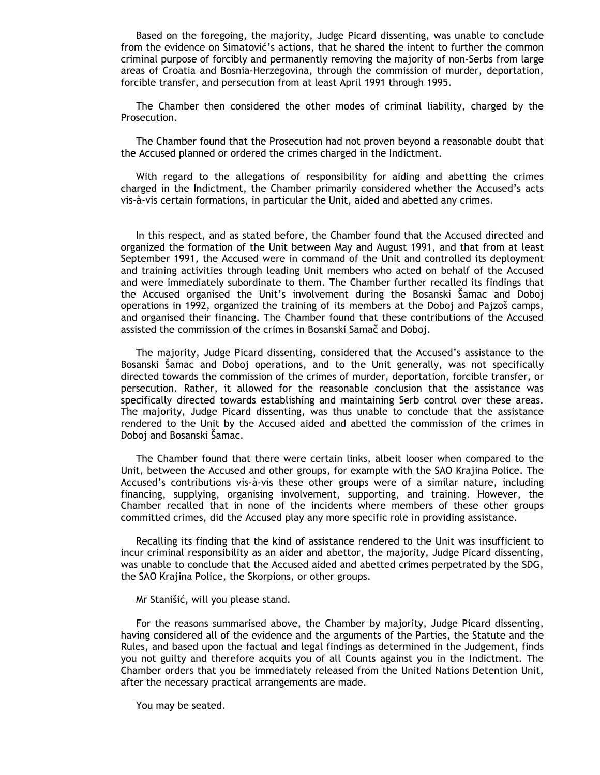Based on the foregoing, the majority, Judge Picard dissenting, was unable to conclude from the evidence on Simatović's actions, that he shared the intent to further the common criminal purpose of forcibly and permanently removing the majority of non-Serbs from large areas of Croatia and Bosnia-Herzegovina, through the commission of murder, deportation, forcible transfer, and persecution from at least April 1991 through 1995.

 The Chamber then considered the other modes of criminal liability, charged by the Prosecution.

 The Chamber found that the Prosecution had not proven beyond a reasonable doubt that the Accused planned or ordered the crimes charged in the Indictment.

 With regard to the allegations of responsibility for aiding and abetting the crimes charged in the Indictment, the Chamber primarily considered whether the Accused's acts vis-à-vis certain formations, in particular the Unit, aided and abetted any crimes.

 In this respect, and as stated before, the Chamber found that the Accused directed and organized the formation of the Unit between May and August 1991, and that from at least September 1991, the Accused were in command of the Unit and controlled its deployment and training activities through leading Unit members who acted on behalf of the Accused and were immediately subordinate to them. The Chamber further recalled its findings that the Accused organised the Unit's involvement during the Bosanski Šamac and Doboj operations in 1992, organized the training of its members at the Doboj and Pajzoš camps, and organised their financing. The Chamber found that these contributions of the Accused assisted the commission of the crimes in Bosanski Samač and Doboj.

 The majority, Judge Picard dissenting, considered that the Accused's assistance to the Bosanski Šamac and Doboj operations, and to the Unit generally, was not specifically directed towards the commission of the crimes of murder, deportation, forcible transfer, or persecution. Rather, it allowed for the reasonable conclusion that the assistance was specifically directed towards establishing and maintaining Serb control over these areas. The majority, Judge Picard dissenting, was thus unable to conclude that the assistance rendered to the Unit by the Accused aided and abetted the commission of the crimes in Doboj and Bosanski Šamac.

 The Chamber found that there were certain links, albeit looser when compared to the Unit, between the Accused and other groups, for example with the SAO Krajina Police. The Accused's contributions vis-à-vis these other groups were of a similar nature, including financing, supplying, organising involvement, supporting, and training. However, the Chamber recalled that in none of the incidents where members of these other groups committed crimes, did the Accused play any more specific role in providing assistance.

 Recalling its finding that the kind of assistance rendered to the Unit was insufficient to incur criminal responsibility as an aider and abettor, the majority, Judge Picard dissenting, was unable to conclude that the Accused aided and abetted crimes perpetrated by the SDG, the SAO Krajina Police, the Skorpions, or other groups.

Mr Stanišić, will you please stand.

 For the reasons summarised above, the Chamber by majority, Judge Picard dissenting, having considered all of the evidence and the arguments of the Parties, the Statute and the Rules, and based upon the factual and legal findings as determined in the Judgement, finds you not guilty and therefore acquits you of all Counts against you in the Indictment. The Chamber orders that you be immediately released from the United Nations Detention Unit, after the necessary practical arrangements are made.

You may be seated.